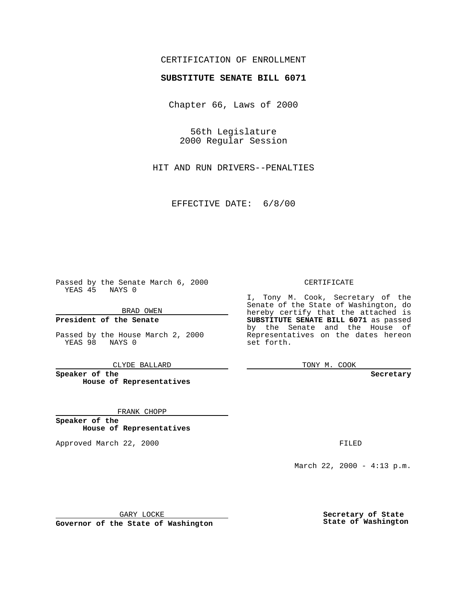### CERTIFICATION OF ENROLLMENT

# **SUBSTITUTE SENATE BILL 6071**

Chapter 66, Laws of 2000

56th Legislature 2000 Regular Session

HIT AND RUN DRIVERS--PENALTIES

EFFECTIVE DATE: 6/8/00

Passed by the Senate March 6, 2000 YEAS 45 NAYS 0

BRAD OWEN

**President of the Senate**

Passed by the House March 2, 2000 YEAS 98 NAYS 0

CLYDE BALLARD

**Speaker of the House of Representatives**

FRANK CHOPP

**Speaker of the House of Representatives**

Approved March 22, 2000 FILED

### CERTIFICATE

I, Tony M. Cook, Secretary of the Senate of the State of Washington, do hereby certify that the attached is **SUBSTITUTE SENATE BILL 6071** as passed by the Senate and the House of Representatives on the dates hereon set forth.

TONY M. COOK

**Secretary**

March 22, 2000 - 4:13 p.m.

GARY LOCKE

**Governor of the State of Washington**

**Secretary of State State of Washington**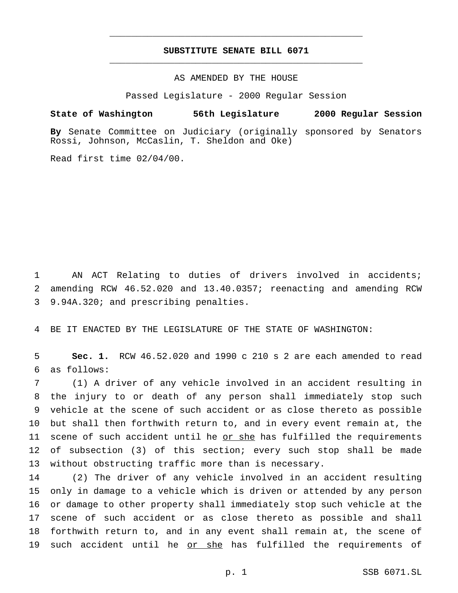### **SUBSTITUTE SENATE BILL 6071** \_\_\_\_\_\_\_\_\_\_\_\_\_\_\_\_\_\_\_\_\_\_\_\_\_\_\_\_\_\_\_\_\_\_\_\_\_\_\_\_\_\_\_\_\_\_\_

\_\_\_\_\_\_\_\_\_\_\_\_\_\_\_\_\_\_\_\_\_\_\_\_\_\_\_\_\_\_\_\_\_\_\_\_\_\_\_\_\_\_\_\_\_\_\_

AS AMENDED BY THE HOUSE

Passed Legislature - 2000 Regular Session

### **State of Washington 56th Legislature 2000 Regular Session**

**By** Senate Committee on Judiciary (originally sponsored by Senators Rossi, Johnson, McCaslin, T. Sheldon and Oke)

Read first time 02/04/00.

 AN ACT Relating to duties of drivers involved in accidents; amending RCW 46.52.020 and 13.40.0357; reenacting and amending RCW 9.94A.320; and prescribing penalties.

BE IT ENACTED BY THE LEGISLATURE OF THE STATE OF WASHINGTON:

 **Sec. 1.** RCW 46.52.020 and 1990 c 210 s 2 are each amended to read as follows:

 (1) A driver of any vehicle involved in an accident resulting in the injury to or death of any person shall immediately stop such vehicle at the scene of such accident or as close thereto as possible but shall then forthwith return to, and in every event remain at, the scene of such accident until he or she has fulfilled the requirements of subsection (3) of this section; every such stop shall be made without obstructing traffic more than is necessary.

 (2) The driver of any vehicle involved in an accident resulting only in damage to a vehicle which is driven or attended by any person or damage to other property shall immediately stop such vehicle at the scene of such accident or as close thereto as possible and shall forthwith return to, and in any event shall remain at, the scene of 19 such accident until he or she has fulfilled the requirements of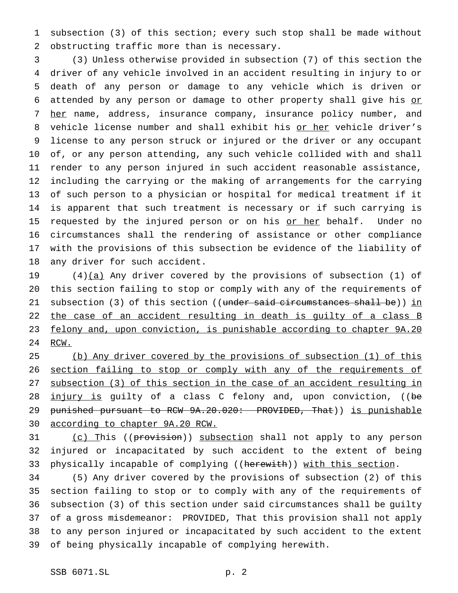subsection (3) of this section; every such stop shall be made without obstructing traffic more than is necessary.

 (3) Unless otherwise provided in subsection (7) of this section the driver of any vehicle involved in an accident resulting in injury to or death of any person or damage to any vehicle which is driven or 6 attended by any person or damage to other property shall give his or 7 her name, address, insurance company, insurance policy number, and 8 vehicle license number and shall exhibit his or her vehicle driver's license to any person struck or injured or the driver or any occupant of, or any person attending, any such vehicle collided with and shall render to any person injured in such accident reasonable assistance, including the carrying or the making of arrangements for the carrying of such person to a physician or hospital for medical treatment if it is apparent that such treatment is necessary or if such carrying is 15 requested by the injured person or on his or her behalf. Under no circumstances shall the rendering of assistance or other compliance with the provisions of this subsection be evidence of the liability of any driver for such accident.

19  $(4)(a)$  Any driver covered by the provisions of subsection (1) of this section failing to stop or comply with any of the requirements of 21 subsection (3) of this section ((under said circumstances shall be)) in 22 the case of an accident resulting in death is guilty of a class B felony and, upon conviction, is punishable according to chapter 9A.20 RCW.

 (b) Any driver covered by the provisions of subsection (1) of this 26 section failing to stop or comply with any of the requirements of subsection (3) of this section in the case of an accident resulting in 28 injury is guilty of a class C felony and, upon conviction, ((be 29 punished pursuant to RCW 9A.20.020: PROVIDED, That)) is punishable according to chapter 9A.20 RCW.

31 (c) This ((provision)) subsection shall not apply to any person injured or incapacitated by such accident to the extent of being 33 physically incapable of complying ((herewith)) with this section.

 (5) Any driver covered by the provisions of subsection (2) of this section failing to stop or to comply with any of the requirements of subsection (3) of this section under said circumstances shall be guilty of a gross misdemeanor: PROVIDED, That this provision shall not apply to any person injured or incapacitated by such accident to the extent of being physically incapable of complying herewith.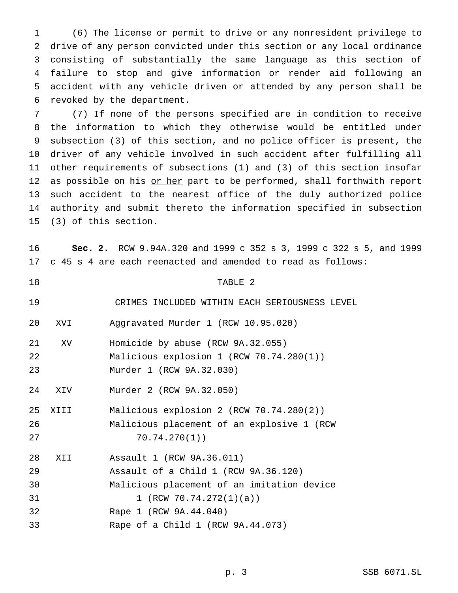(6) The license or permit to drive or any nonresident privilege to drive of any person convicted under this section or any local ordinance consisting of substantially the same language as this section of failure to stop and give information or render aid following an accident with any vehicle driven or attended by any person shall be revoked by the department.

 (7) If none of the persons specified are in condition to receive the information to which they otherwise would be entitled under subsection (3) of this section, and no police officer is present, the driver of any vehicle involved in such accident after fulfilling all other requirements of subsections (1) and (3) of this section insofar 12 as possible on his or her part to be performed, shall forthwith report such accident to the nearest office of the duly authorized police authority and submit thereto the information specified in subsection (3) of this section.

 **Sec. 2.** RCW 9.94A.320 and 1999 c 352 s 3, 1999 c 322 s 5, and 1999 c 45 s 4 are each reenacted and amended to read as follows:

 TABLE 2 CRIMES INCLUDED WITHIN EACH SERIOUSNESS LEVEL XVI Aggravated Murder 1 (RCW 10.95.020) XV Homicide by abuse (RCW 9A.32.055) Malicious explosion 1 (RCW 70.74.280(1)) Murder 1 (RCW 9A.32.030) XIV Murder 2 (RCW 9A.32.050) XIII Malicious explosion 2 (RCW 70.74.280(2)) Malicious placement of an explosive 1 (RCW 70.74.270(1)) XII Assault 1 (RCW 9A.36.011) Assault of a Child 1 (RCW 9A.36.120) Malicious placement of an imitation device 31 1 (RCW 70.74.272(1)(a)) Rape 1 (RCW 9A.44.040)

Rape of a Child 1 (RCW 9A.44.073)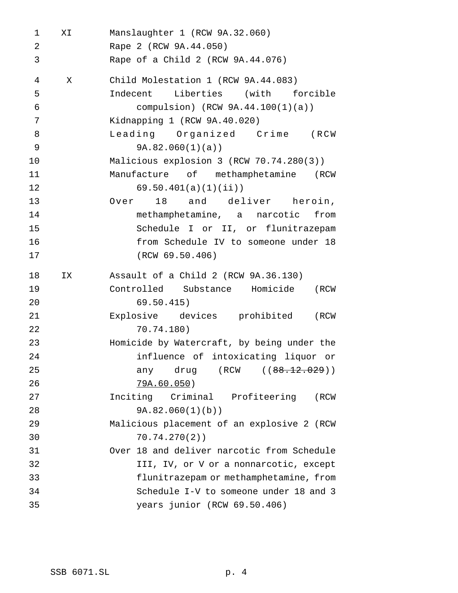| 1              | ΧI | Manslaughter 1 (RCW 9A.32.060)             |
|----------------|----|--------------------------------------------|
| 2              |    | Rape 2 (RCW 9A.44.050)                     |
| 3              |    | Rape of a Child 2 (RCW 9A.44.076)          |
| $\overline{4}$ | X  | Child Molestation 1 (RCW 9A.44.083)        |
| 5              |    | Indecent Liberties (with forcible          |
| 6              |    | compulsion) $(RCW 9A.44.100(1)(a))$        |
| 7              |    | Kidnapping 1 (RCW 9A.40.020)               |
| 8              |    | Leading Organized Crime (RCW               |
| 9              |    | 9A.82.060(1)(a)                            |
| 10             |    | Malicious explosion 3 (RCW 70.74.280(3))   |
| 11             |    | Manufacture of methamphetamine (RCW        |
| 12             |    | 69.50.401(a)(1)(ii)                        |
| 13             |    | Over 18 and deliver heroin,                |
| 14             |    | methamphetamine, a narcotic from           |
| 15             |    | Schedule I or II, or flunitrazepam         |
| 16             |    | from Schedule IV to someone under 18       |
| 17             |    | (RCW 69.50.406)                            |
| 18             | ΙX | Assault of a Child 2 (RCW 9A.36.130)       |
| 19             |    | Controlled Substance Homicide (RCW         |
| 20             |    | 69.50.415)                                 |
| 21             |    | Explosive devices prohibited (RCW          |
| 22             |    | 70.74.180)                                 |
| 23             |    | Homicide by Watercraft, by being under the |
| 24             |    | influence of intoxicating liquor or        |
| 25             |    | any drug (RCW (( <del>88.12.029</del> ))   |
| 26             |    | <u>79A.60.050</u> )                        |
| 27             |    | Inciting Criminal Profiteering (RCW        |
| 28             |    | 9A.82.060(1)(b)                            |
| 29             |    | Malicious placement of an explosive 2 (RCW |
| 30             |    | 70.74.270(2)                               |
| 31             |    | Over 18 and deliver narcotic from Schedule |
| 32             |    |                                            |
|                |    | III, IV, or V or a nonnarcotic, except     |
| 33             |    | flunitrazepam or methamphetamine, from     |
| 34             |    | Schedule I-V to someone under 18 and 3     |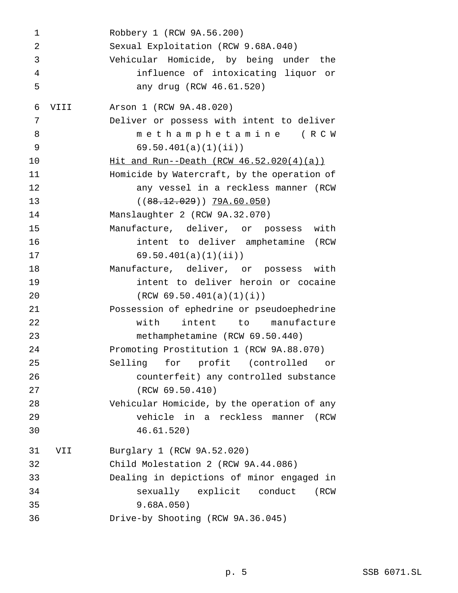```
1 Robbery 1 (RCW 9A.56.200)
2 Sexual Exploitation (RCW 9.68A.040)
3 Vehicular Homicide, by being under the
4 influence of intoxicating liquor or
5 any drug (RCW 46.61.520)
6 VIII Arson 1 (RCW 9A.48.020)
7 Deliver or possess with intent to deliver
8 methamphetamine (RCW
9 69.50.401(a)(1)(ii))
10 Hit and Run--Death (RCW 46.52.020(4)(a))
11 Homicide by Watercraft, by the operation of
12 any vessel in a reckless manner (RCW
13 ((88.12.029)) 79A.60.050)
14 Manslaughter 2 (RCW 9A.32.070)
15 Manufacture, deliver, or possess with
16 intent to deliver amphetamine (RCW
17 69.50.401(a)(1)(ii))
18 Manufacture, deliver, or possess with
19 intent to deliver heroin or cocaine
20 (RCW 69.50.401(a)(1)(i))
21 Possession of ephedrine or pseudoephedrine
22 with intent to manufacture
23 methamphetamine (RCW 69.50.440)
24 Promoting Prostitution 1 (RCW 9A.88.070)
25 Selling for profit (controlled or
26 counterfeit) any controlled substance
27 (RCW 69.50.410)
28 Vehicular Homicide, by the operation of any
29 vehicle in a reckless manner (RCW
30 46.61.520)
31 VII Burglary 1 (RCW 9A.52.020)
32 Child Molestation 2 (RCW 9A.44.086)
33 Dealing in depictions of minor engaged in
34 sexually explicit conduct (RCW
35 9.68A.050)
36 Drive-by Shooting (RCW 9A.36.045)
```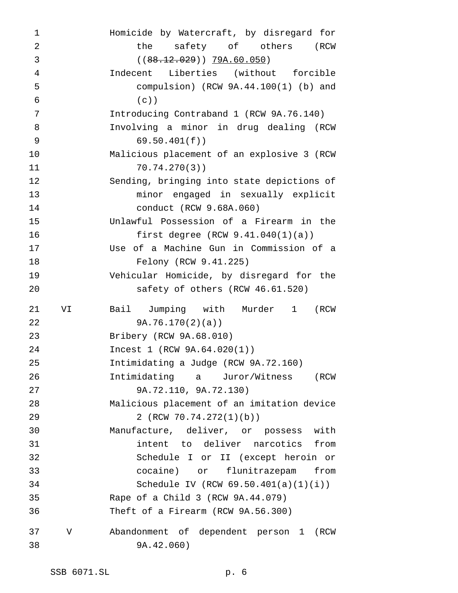| 1          |    | Homicide by Watercraft, by disregard for   |
|------------|----|--------------------------------------------|
| 2          |    | the<br>safety of others (RCW               |
| 3          |    | $((88.12.029))$ $79A.60.050)$              |
| 4          |    | Indecent Liberties (without forcible       |
| 5          |    | compulsion) $(RCW 9A.44.100(1)$ (b) and    |
| $\epsilon$ |    | $(c)$ )                                    |
| 7          |    | Introducing Contraband 1 (RCW 9A.76.140)   |
| 8          |    | Involving a minor in drug dealing (RCW     |
| 9          |    | 69.50.401(f))                              |
| 10         |    | Malicious placement of an explosive 3 (RCW |
| 11         |    | 70.74.270(3)                               |
| 12         |    | Sending, bringing into state depictions of |
| 13         |    | minor engaged in sexually explicit         |
| 14         |    | conduct (RCW 9.68A.060)                    |
| 15         |    | Unlawful Possession of a Firearm in the    |
| 16         |    | first degree $(RCW 9.41.040(1)(a))$        |
| 17         |    | Use of a Machine Gun in Commission of a    |
| 18         |    | Felony (RCW 9.41.225)                      |
| 19         |    | Vehicular Homicide, by disregard for the   |
| 20         |    | safety of others (RCW 46.61.520)           |
| 21         | VI | Bail Jumping with Murder 1<br>(RCW         |
| 22         |    | 9A.76.170(2)(a)                            |
| 23         |    | Bribery (RCW 9A.68.010)                    |
| 24         |    | Incest 1 (RCW 9A.64.020(1))                |
| 25         |    | Intimidating a Judge (RCW 9A.72.160)       |
| 26         |    | Intimidating a Juror/Witness (RCW          |
| 27         |    | 9A.72.110, 9A.72.130)                      |
| 28         |    | Malicious placement of an imitation device |
| 29         |    | 2 (RCW 70.74.272(1)(b))                    |
| 30         |    | Manufacture, deliver, or possess with      |
| 31         |    | intent to deliver narcotics from           |
| 32         |    | Schedule I or II (except heroin or         |
| 33         |    | cocaine) or flunitrazepam<br>from          |
| 34         |    | Schedule IV (RCW $69.50.401(a)(1)(i)$ )    |
| 35         |    | Rape of a Child 3 (RCW 9A.44.079)          |
| 36         |    | Theft of a Firearm (RCW 9A.56.300)         |
| 37         | V  | Abandonment of dependent person 1<br>(RCW  |
| 38         |    | 9A.42.060)                                 |
|            |    |                                            |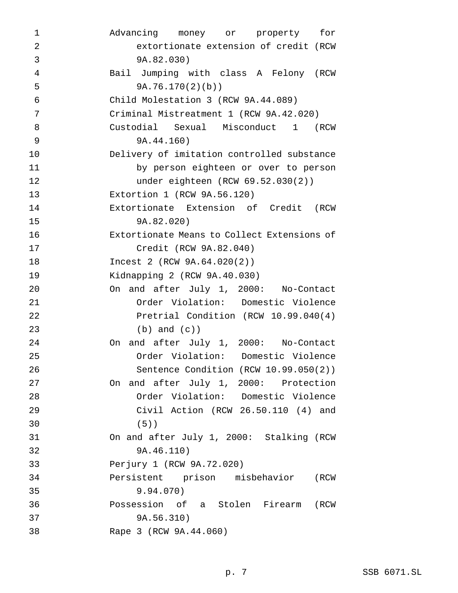| 1              | Advancing money or property<br>for          |
|----------------|---------------------------------------------|
| $\overline{2}$ | extortionate extension of credit (RCW       |
| 3              | 9A.82.030)                                  |
| $\overline{4}$ | Bail Jumping with class A Felony (RCW       |
| 5              | 9A.76.170(2)(b)                             |
| $\epsilon$     | Child Molestation 3 (RCW 9A.44.089)         |
| 7              | Criminal Mistreatment 1 (RCW 9A.42.020)     |
| 8              | Custodial Sexual Misconduct 1<br>(RCW       |
| 9              | 9A.44.160)                                  |
| 10             | Delivery of imitation controlled substance  |
| 11             | by person eighteen or over to person        |
| 12             | under eighteen (RCW 69.52.030(2))           |
| 13             | Extortion 1 (RCW 9A.56.120)                 |
| 14             | Extortionate Extension of Credit (RCW       |
| 15             | 9A.82.020)                                  |
| 16             | Extortionate Means to Collect Extensions of |
| 17             | Credit (RCW 9A.82.040)                      |
| 18             | Incest 2 (RCW 9A.64.020(2))                 |
| 19             | Kidnapping 2 (RCW 9A.40.030)                |
| 20             | On and after July 1, 2000: No-Contact       |
| 21             | Order Violation: Domestic Violence          |
| 22             | Pretrial Condition (RCW 10.99.040(4)        |
| 23             | $(b)$ and $(c)$ )                           |
| 24             | On and after July 1, 2000: No-Contact       |
| 25             | Order Violation: Domestic Violence          |
| 26             | Sentence Condition (RCW 10.99.050(2))       |
| 27             | On and after July 1, 2000: Protection       |
| 28             | Order Violation: Domestic Violence          |
| 29             | Civil Action (RCW 26.50.110 (4) and         |
| 30             | $(5)$ )                                     |
| 31             | On and after July 1, 2000: Stalking (RCW    |
| 32             | 9A.46.110)                                  |
| 33             | Perjury 1 (RCW 9A.72.020)                   |
| 34             | Persistent prison misbehavior (RCW          |
| 35             | 9.94.070)                                   |
| 36             | Possession of a Stolen Firearm (RCW         |
| 37             | 9A.56.310)                                  |
| 38             | Rape 3 (RCW 9A.44.060)                      |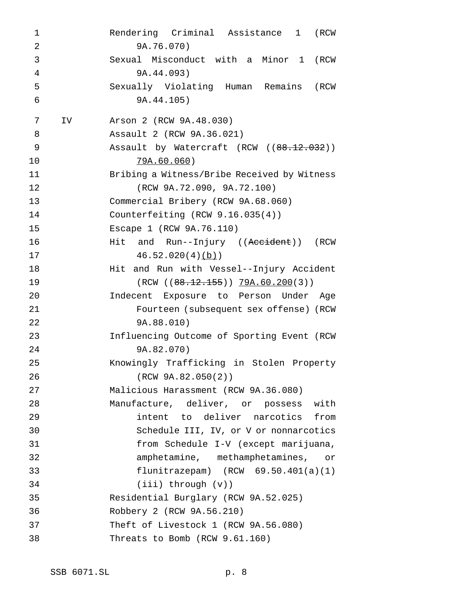Rendering Criminal Assistance 1 (RCW 9A.76.070) Sexual Misconduct with a Minor 1 (RCW 9A.44.093) Sexually Violating Human Remains (RCW 9A.44.105) IV Arson 2 (RCW 9A.48.030) Assault 2 (RCW 9A.36.021) 9 Assault by Watercraft (RCW ((88.12.032)) 79A.60.060) Bribing a Witness/Bribe Received by Witness (RCW 9A.72.090, 9A.72.100) Commercial Bribery (RCW 9A.68.060) Counterfeiting (RCW 9.16.035(4)) Escape 1 (RCW 9A.76.110) **Hit and Run--Injury ((Accident))** (RCW  $46.52.020(4)(b)$  Hit and Run with Vessel--Injury Accident 19 (RCW ((88.12.155)) 79A.60.200(3)) Indecent Exposure to Person Under Age Fourteen (subsequent sex offense) (RCW 9A.88.010) Influencing Outcome of Sporting Event (RCW 9A.82.070) Knowingly Trafficking in Stolen Property (RCW 9A.82.050(2)) Malicious Harassment (RCW 9A.36.080) Manufacture, deliver, or possess with intent to deliver narcotics from Schedule III, IV, or V or nonnarcotics from Schedule I-V (except marijuana, amphetamine, methamphetamines, or flunitrazepam) (RCW 69.50.401(a)(1) (iii) through (v)) Residential Burglary (RCW 9A.52.025) Robbery 2 (RCW 9A.56.210) Theft of Livestock 1 (RCW 9A.56.080) Threats to Bomb (RCW 9.61.160)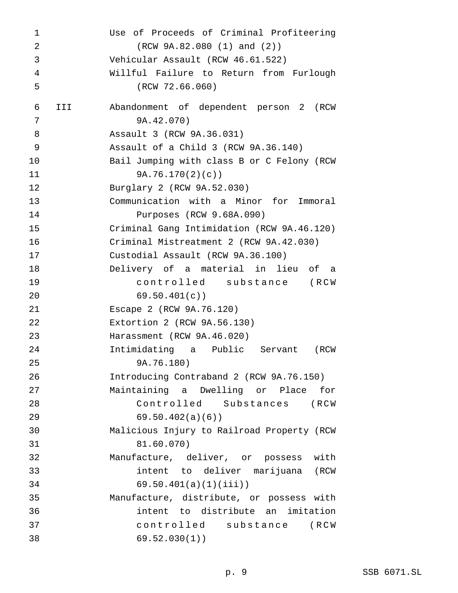Use of Proceeds of Criminal Profiteering (RCW 9A.82.080 (1) and (2)) Vehicular Assault (RCW 46.61.522) Willful Failure to Return from Furlough (RCW 72.66.060) III Abandonment of dependent person 2 (RCW 9A.42.070) Assault 3 (RCW 9A.36.031) Assault of a Child 3 (RCW 9A.36.140) Bail Jumping with class B or C Felony (RCW 9A.76.170(2)(c)) Burglary 2 (RCW 9A.52.030) Communication with a Minor for Immoral Purposes (RCW 9.68A.090) Criminal Gang Intimidation (RCW 9A.46.120) Criminal Mistreatment 2 (RCW 9A.42.030) Custodial Assault (RCW 9A.36.100) Delivery of a material in lieu of a controlled substance (RCW 69.50.401(c)) Escape 2 (RCW 9A.76.120) Extortion 2 (RCW 9A.56.130) Harassment (RCW 9A.46.020) Intimidating a Public Servant (RCW 9A.76.180) Introducing Contraband 2 (RCW 9A.76.150) Maintaining a Dwelling or Place for Controlled Substances (RCW 69.50.402(a)(6)) Malicious Injury to Railroad Property (RCW 81.60.070) Manufacture, deliver, or possess with intent to deliver marijuana (RCW 69.50.401(a)(1)(iii)) Manufacture, distribute, or possess with intent to distribute an imitation controlled substance (RCW 69.52.030(1))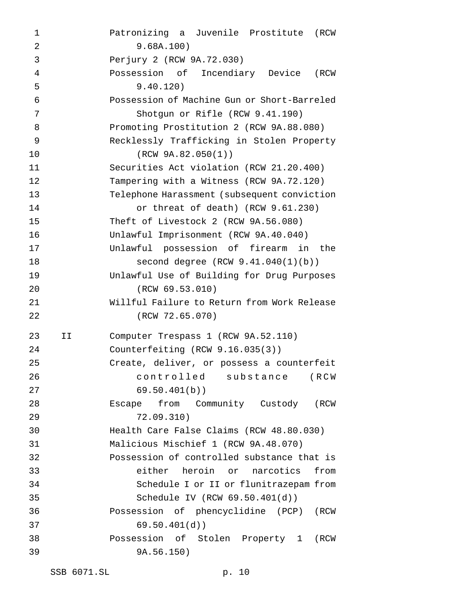Patronizing a Juvenile Prostitute (RCW 9.68A.100) Perjury 2 (RCW 9A.72.030) Possession of Incendiary Device (RCW 9.40.120) Possession of Machine Gun or Short-Barreled Shotgun or Rifle (RCW 9.41.190) Promoting Prostitution 2 (RCW 9A.88.080) Recklessly Trafficking in Stolen Property (RCW 9A.82.050(1)) Securities Act violation (RCW 21.20.400) Tampering with a Witness (RCW 9A.72.120) Telephone Harassment (subsequent conviction or threat of death) (RCW 9.61.230) Theft of Livestock 2 (RCW 9A.56.080) Unlawful Imprisonment (RCW 9A.40.040) Unlawful possession of firearm in the **second degree** (RCW 9.41.040(1)(b)) Unlawful Use of Building for Drug Purposes (RCW 69.53.010) Willful Failure to Return from Work Release (RCW 72.65.070) II Computer Trespass 1 (RCW 9A.52.110) Counterfeiting (RCW 9.16.035(3)) Create, deliver, or possess a counterfeit controlled substance (RCW 69.50.401(b)) Escape from Community Custody (RCW 72.09.310) Health Care False Claims (RCW 48.80.030) Malicious Mischief 1 (RCW 9A.48.070) Possession of controlled substance that is either heroin or narcotics from Schedule I or II or flunitrazepam from Schedule IV (RCW 69.50.401(d)) Possession of phencyclidine (PCP) (RCW 69.50.401(d)) Possession of Stolen Property 1 (RCW 9A.56.150)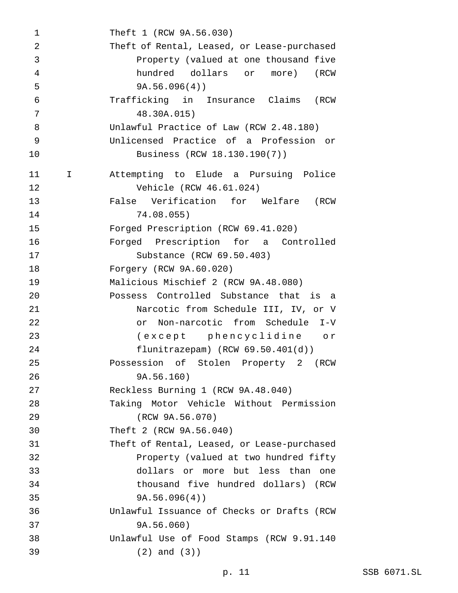Theft 1 (RCW 9A.56.030) Theft of Rental, Leased, or Lease-purchased Property (valued at one thousand five hundred dollars or more) (RCW 9A.56.096(4)) Trafficking in Insurance Claims (RCW 48.30A.015) Unlawful Practice of Law (RCW 2.48.180) Unlicensed Practice of a Profession or Business (RCW 18.130.190(7)) I Attempting to Elude a Pursuing Police Vehicle (RCW 46.61.024) False Verification for Welfare (RCW 74.08.055) Forged Prescription (RCW 69.41.020) Forged Prescription for a Controlled Substance (RCW 69.50.403) Forgery (RCW 9A.60.020) Malicious Mischief 2 (RCW 9A.48.080) Possess Controlled Substance that is a Narcotic from Schedule III, IV, or V or Non-narcotic from Schedule I-V (except phencyclidine or flunitrazepam) (RCW 69.50.401(d)) Possession of Stolen Property 2 (RCW 9A.56.160) Reckless Burning 1 (RCW 9A.48.040) Taking Motor Vehicle Without Permission (RCW 9A.56.070) Theft 2 (RCW 9A.56.040) Theft of Rental, Leased, or Lease-purchased Property (valued at two hundred fifty dollars or more but less than one thousand five hundred dollars) (RCW 9A.56.096(4)) Unlawful Issuance of Checks or Drafts (RCW 9A.56.060) Unlawful Use of Food Stamps (RCW 9.91.140 (2) and (3))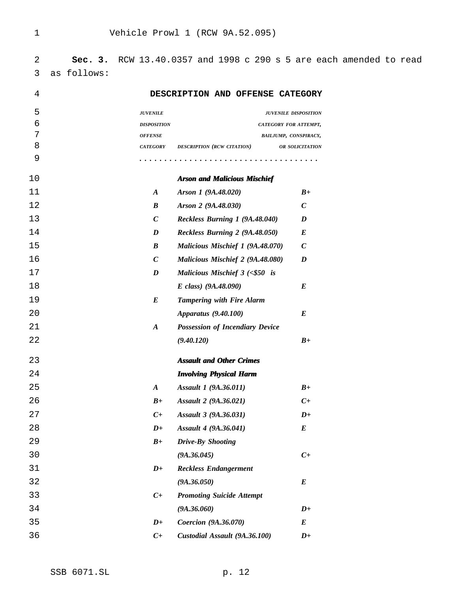**Sec. 3.** RCW 13.40.0357 and 1998 c 290 s 5 are each amended to read as follows:

| 5<br><b>JUVENILE</b><br><b>JUVENILE DISPOSITION</b><br>6<br><b>DISPOSITION</b><br><b>CATEGORY FOR ATTEMPT,</b><br>7<br><b>OFFENSE</b><br>BAILJUMP, CONSPIRACY,<br>8<br><b>CATEGORY</b><br>DESCRIPTION (RCW CITATION)<br>OR SOLICITATION<br>9<br>10<br><b>Arson and Malicious Mischief</b><br>11<br>Arson 1 (9A.48.020)<br>$B+$<br>$\boldsymbol{A}$<br>12<br>Arson 2 (9A.48.030)<br>$\boldsymbol{C}$<br>$\boldsymbol{B}$<br>13<br>$\boldsymbol{C}$<br>Reckless Burning 1 (9A.48.040)<br>$\boldsymbol{D}$<br>14<br>Reckless Burning 2 (9A.48.050)<br>$\bm E$<br>$\boldsymbol{D}$<br>15<br>$\boldsymbol{B}$<br>Malicious Mischief 1 (9A.48.070)<br>$\boldsymbol{C}$<br>16<br>$\boldsymbol{C}$<br>Malicious Mischief 2 (9A.48.080)<br>$\boldsymbol{D}$<br>17<br>Malicious Mischief $3$ (<\$50 is<br>$\boldsymbol{D}$ |
|------------------------------------------------------------------------------------------------------------------------------------------------------------------------------------------------------------------------------------------------------------------------------------------------------------------------------------------------------------------------------------------------------------------------------------------------------------------------------------------------------------------------------------------------------------------------------------------------------------------------------------------------------------------------------------------------------------------------------------------------------------------------------------------------------------------|
|                                                                                                                                                                                                                                                                                                                                                                                                                                                                                                                                                                                                                                                                                                                                                                                                                  |
|                                                                                                                                                                                                                                                                                                                                                                                                                                                                                                                                                                                                                                                                                                                                                                                                                  |
|                                                                                                                                                                                                                                                                                                                                                                                                                                                                                                                                                                                                                                                                                                                                                                                                                  |
|                                                                                                                                                                                                                                                                                                                                                                                                                                                                                                                                                                                                                                                                                                                                                                                                                  |
|                                                                                                                                                                                                                                                                                                                                                                                                                                                                                                                                                                                                                                                                                                                                                                                                                  |
|                                                                                                                                                                                                                                                                                                                                                                                                                                                                                                                                                                                                                                                                                                                                                                                                                  |
|                                                                                                                                                                                                                                                                                                                                                                                                                                                                                                                                                                                                                                                                                                                                                                                                                  |
|                                                                                                                                                                                                                                                                                                                                                                                                                                                                                                                                                                                                                                                                                                                                                                                                                  |
|                                                                                                                                                                                                                                                                                                                                                                                                                                                                                                                                                                                                                                                                                                                                                                                                                  |
|                                                                                                                                                                                                                                                                                                                                                                                                                                                                                                                                                                                                                                                                                                                                                                                                                  |
|                                                                                                                                                                                                                                                                                                                                                                                                                                                                                                                                                                                                                                                                                                                                                                                                                  |
|                                                                                                                                                                                                                                                                                                                                                                                                                                                                                                                                                                                                                                                                                                                                                                                                                  |
|                                                                                                                                                                                                                                                                                                                                                                                                                                                                                                                                                                                                                                                                                                                                                                                                                  |
| 18<br>E class) $(9A.48.090)$<br>$\bm E$                                                                                                                                                                                                                                                                                                                                                                                                                                                                                                                                                                                                                                                                                                                                                                          |
| 19<br>$\bm{E}$<br><b>Tampering with Fire Alarm</b>                                                                                                                                                                                                                                                                                                                                                                                                                                                                                                                                                                                                                                                                                                                                                               |
| 20<br>Apparatus (9.40.100)<br>$\bm E$                                                                                                                                                                                                                                                                                                                                                                                                                                                                                                                                                                                                                                                                                                                                                                            |
| 21<br><b>Possession of Incendiary Device</b><br>$\boldsymbol{A}$                                                                                                                                                                                                                                                                                                                                                                                                                                                                                                                                                                                                                                                                                                                                                 |
| 22<br>(9.40.120)<br>$B+$                                                                                                                                                                                                                                                                                                                                                                                                                                                                                                                                                                                                                                                                                                                                                                                         |
| 23<br><b>Assault and Other Crimes</b>                                                                                                                                                                                                                                                                                                                                                                                                                                                                                                                                                                                                                                                                                                                                                                            |
| 24<br><b>Involving Physical Harm</b>                                                                                                                                                                                                                                                                                                                                                                                                                                                                                                                                                                                                                                                                                                                                                                             |
| 25<br>Assault 1 (9A.36.011)<br>$B+$<br>$\boldsymbol{A}$                                                                                                                                                                                                                                                                                                                                                                                                                                                                                                                                                                                                                                                                                                                                                          |
| 26<br>$C+$<br>$B+$<br>Assault 2 (9A.36.021)                                                                                                                                                                                                                                                                                                                                                                                                                                                                                                                                                                                                                                                                                                                                                                      |
| 27<br>$C+$<br>Assault 3 (9A.36.031)<br>$D+$                                                                                                                                                                                                                                                                                                                                                                                                                                                                                                                                                                                                                                                                                                                                                                      |
| 28<br>$D+$<br>Assault 4 (9A.36.041)<br>$\bm E$                                                                                                                                                                                                                                                                                                                                                                                                                                                                                                                                                                                                                                                                                                                                                                   |
| 29<br>Drive-By Shooting<br>$B+$                                                                                                                                                                                                                                                                                                                                                                                                                                                                                                                                                                                                                                                                                                                                                                                  |
| 30<br>(9A.36.045)<br>$C+$                                                                                                                                                                                                                                                                                                                                                                                                                                                                                                                                                                                                                                                                                                                                                                                        |
| 31<br><b>Reckless Endangerment</b><br>$D+$                                                                                                                                                                                                                                                                                                                                                                                                                                                                                                                                                                                                                                                                                                                                                                       |
| 32<br>(9A.36.050)<br>$\bm E$                                                                                                                                                                                                                                                                                                                                                                                                                                                                                                                                                                                                                                                                                                                                                                                     |
| 33<br><b>Promoting Suicide Attempt</b><br>$C+$                                                                                                                                                                                                                                                                                                                                                                                                                                                                                                                                                                                                                                                                                                                                                                   |
| 34<br>(9A.36.060)<br>$D+$                                                                                                                                                                                                                                                                                                                                                                                                                                                                                                                                                                                                                                                                                                                                                                                        |
| 35<br>Coercion (9A.36.070)<br>$D+$<br>$\bm E$                                                                                                                                                                                                                                                                                                                                                                                                                                                                                                                                                                                                                                                                                                                                                                    |
| 36<br>Custodial Assault (9A.36.100)<br>$C+$<br>$D+$                                                                                                                                                                                                                                                                                                                                                                                                                                                                                                                                                                                                                                                                                                                                                              |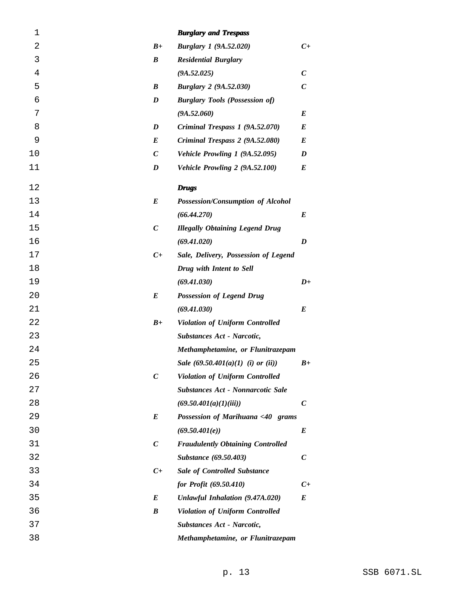| $\mathbf 1$ |                  | <b>Burglary and Trespass</b>             |                  |
|-------------|------------------|------------------------------------------|------------------|
| 2           | $B+$             | <b>Burglary 1 (9A.52.020)</b>            | $C+$             |
| 3           | $\boldsymbol{B}$ | <b>Residential Burglary</b>              |                  |
| 4           |                  | (9A.52.025)                              | $\boldsymbol{C}$ |
| 5           | $\boldsymbol{B}$ | <b>Burglary 2 (9A.52.030)</b>            | $\boldsymbol{C}$ |
| 6           | $\boldsymbol{D}$ | <b>Burglary Tools (Possession of)</b>    |                  |
| 7           |                  | (9A.52.060)                              | E                |
| 8           | $\boldsymbol{D}$ | Criminal Trespass 1 (9A.52.070)          | $\bm E$          |
| 9           | E                | Criminal Trespass 2 (9A.52.080)          | E                |
| 10          | $\boldsymbol{C}$ | Vehicle Prowling 1 (9A.52.095)           | D                |
| 11          | D                | Vehicle Prowling 2 (9A.52.100)           | E                |
| 12          |                  | <b>Drugs</b>                             |                  |
| 13          | $\bm E$          | Possession/Consumption of Alcohol        |                  |
| 14          |                  | (66.44.270)                              | E                |
| 15          | $\boldsymbol{C}$ | <b>Illegally Obtaining Legend Drug</b>   |                  |
| 16          |                  | (69.41.020)                              | D                |
| 17          | $C+$             | Sale, Delivery, Possession of Legend     |                  |
| 18          |                  | Drug with Intent to Sell                 |                  |
| 19          |                  | (69.41.030)                              | $D+$             |
| 20          | E                | <b>Possession of Legend Drug</b>         |                  |
| 21          |                  | (69.41.030)                              | E                |
| 22          | $B+$             | <b>Violation of Uniform Controlled</b>   |                  |
| 23          |                  | Substances Act - Narcotic,               |                  |
| 24          |                  | Methamphetamine, or Flunitrazepam        |                  |
| 25          |                  | Sale $(69.50.401(a)(1)$ (i) or (ii))     | $B+$             |
| 26          | $\boldsymbol{C}$ | <b>Violation of Uniform Controlled</b>   |                  |
| 27          |                  | Substances Act - Nonnarcotic Sale        |                  |
| 28          |                  | (69.50.401(a)(1)(iii))                   | $\boldsymbol{C}$ |
| 29          | E                | Possession of Marihuana <40 grams        |                  |
| 30          |                  | (69.50.401(e))                           | E                |
| 31          | $\boldsymbol{C}$ | <b>Fraudulently Obtaining Controlled</b> |                  |
| 32          |                  | Substance (69.50.403)                    | $\boldsymbol{C}$ |
| 33          | $C_{+}$          | <b>Sale of Controlled Substance</b>      |                  |
| 34          |                  | for Profit (69.50.410)                   | $C_{+}$          |
| 35          | E                | Unlawful Inhalation (9.47A.020)          | $\bm E$          |
| 36          | B                | <b>Violation of Uniform Controlled</b>   |                  |
| 37          |                  | Substances Act - Narcotic,               |                  |
| 38          |                  | Methamphetamine, or Flunitrazepam        |                  |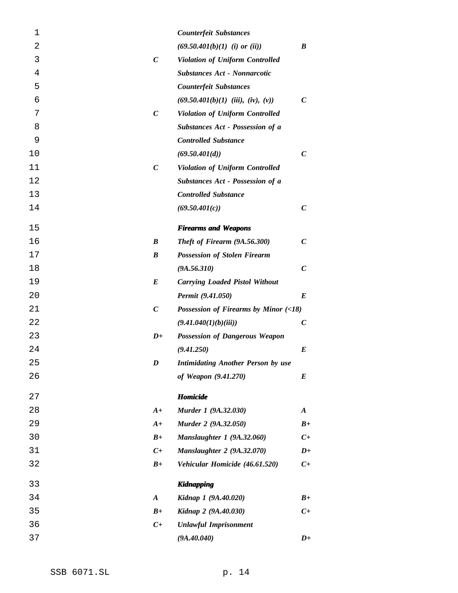| 1              |                  | <b>Counterfeit Substances</b>             |                  |
|----------------|------------------|-------------------------------------------|------------------|
| $\overline{2}$ |                  | $(69.50.401(b)(1)$ (i) or (ii))           | B                |
| 3              | $\boldsymbol{C}$ | Violation of Uniform Controlled           |                  |
| 4              |                  | <b>Substances Act - Nonnarcotic</b>       |                  |
| 5              |                  | <b>Counterfeit Substances</b>             |                  |
| 6              |                  | $(69.50.401(b)(1)$ (iii), (iv), (v))      | $\mathcal{C}$    |
| 7              | $\boldsymbol{C}$ | Violation of Uniform Controlled           |                  |
| 8              |                  | Substances Act - Possession of a          |                  |
| 9              |                  | <b>Controlled Substance</b>               |                  |
| 10             |                  | (69.50.401(d))                            | $\mathcal{C}$    |
| 11             | $\boldsymbol{C}$ | Violation of Uniform Controlled           |                  |
| 12             |                  | Substances Act - Possession of a          |                  |
| 13             |                  | <b>Controlled Substance</b>               |                  |
| 14             |                  | (69.50.401(c))                            | $\boldsymbol{C}$ |
| 15             |                  | <b>Firearms and Weapons</b>               |                  |
| 16             | B                | Theft of Firearm (9A.56.300)              | $\boldsymbol{C}$ |
| 17             | $\boldsymbol{B}$ | <b>Possession of Stolen Firearm</b>       |                  |
| 18             |                  | (9A.56.310)                               | $\boldsymbol{C}$ |
| 19             | E                | <b>Carrying Loaded Pistol Without</b>     |                  |
| 20             |                  | Permit (9.41.050)                         | E                |
| 21             | $\boldsymbol{C}$ | Possession of Firearms by Minor $( <18)$  |                  |
| 22             |                  | (9.41.040(1)(b)(iii))                     | $\boldsymbol{C}$ |
| 23             | $D+$             | <b>Possession of Dangerous Weapon</b>     |                  |
| 24             |                  | (9.41.250)                                | E                |
| 25             | D                | <b>Intimidating Another Person by use</b> |                  |
| 26             |                  | of Weapon (9.41.270)                      | E                |
| 27             |                  | <b>Homicide</b>                           |                  |
| 28             | $A+$             | Murder 1 (9A.32.030)                      | $\boldsymbol{A}$ |
| 29             | $A+$             | Murder 2 (9A.32.050)                      | $B+$             |
| 30             | $B+$             | Manslaughter 1 (9A.32.060)                | $C_{+}$          |
| 31             | $C_{+}$          | <b>Manslaughter 2 (9A.32.070)</b>         | $D+$             |
| 32             | $B+$             | Vehicular Homicide (46.61.520)            | $C_{+}$          |
| 33             |                  | <b>Kidnapping</b>                         |                  |
| 34             | $\boldsymbol{A}$ | Kidnap 1 (9A.40.020)                      | $B+$             |
| 35             | $B+$             | Kidnap 2 (9A.40.030)                      | $C_{+}$          |
| 36             | $C+$             | <b>Unlawful Imprisonment</b>              |                  |
| 37             |                  | (9A.40.040)                               | $D+$             |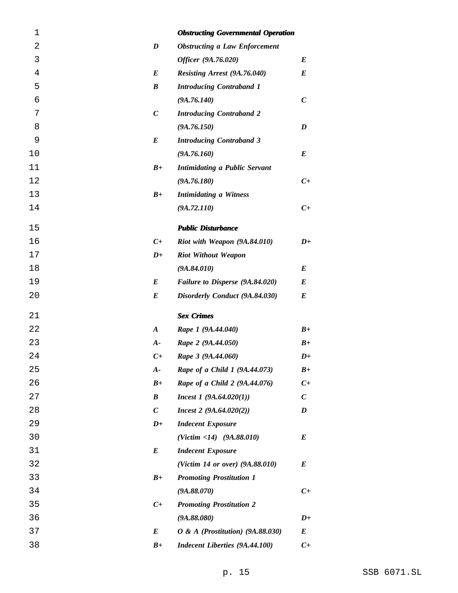| 1              |                  | <b>Obstructing Governmental Operation</b> |                             |
|----------------|------------------|-------------------------------------------|-----------------------------|
| $\overline{2}$ | D                | <b>Obstructing a Law Enforcement</b>      |                             |
| 3              |                  | Officer (9A.76.020)                       | E                           |
| 4              | E                | Resisting Arrest (9A.76.040)              | E                           |
| 5              | B                | <b>Introducing Contraband 1</b>           |                             |
| 6              |                  | (9A.76.140)                               | $\boldsymbol{C}$            |
| 7              | $\boldsymbol{C}$ | <b>Introducing Contraband 2</b>           |                             |
| 8              |                  | (9A.76.150)                               | D                           |
| 9              | E                | <b>Introducing Contraband 3</b>           |                             |
| 10             |                  | (9A.76.160)                               | E                           |
| 11             | $B+$             | <b>Intimidating a Public Servant</b>      |                             |
| 12             |                  | (9A.76.180)                               | $C_{+}$                     |
| 13             | $B+$             | <b>Intimidating a Witness</b>             |                             |
| 14             |                  | (9A.72.110)                               | $C_{+}$                     |
| 15             |                  | <b>Public Disturbance</b>                 |                             |
| 16             | $C_{\pm}$        | Riot with Weapon (9A.84.010)              | $D+$                        |
| 17             | $D+$             | <b>Riot Without Weapon</b>                |                             |
| 18             |                  | (9A.84.010)                               | E                           |
| 19             | E                | Failure to Disperse (9A.84.020)           | E                           |
| 20             | E                | Disorderly Conduct (9A.84.030)            | E                           |
| 21             |                  | <b>Sex Crimes</b>                         |                             |
| 22             | $\boldsymbol{A}$ | Rape 1 (9A.44.040)                        | $B+$                        |
| 23             | $A-$             | Rape 2 (9A.44.050)                        | $B+$                        |
| 24             | $C_{+}$          | Rape 3 (9A.44.060)                        | $D+$                        |
| 25             | $A-$             | Rape of a Child 1 (9A.44.073)             | $B+$                        |
| 26             | $B+$             | Rape of a Child 2 (9A.44.076)             | $C_{\pm}$                   |
| 27             | B                | <i>Incest 1</i> $(9A.64.020(1))$          | $\mathcal{C}_{\mathcal{C}}$ |
| 28             | $\boldsymbol{C}$ | Interest 2 (9A.64.020(2))                 | D                           |
| 29             | $D+$             | <b>Indecent Exposure</b>                  |                             |
| 30             |                  | $(Victim < 14)$ $(9A.88.010)$             | E                           |
| 31             | E                | <b>Indecent Exposure</b>                  |                             |
| 32             |                  | (Victim 14 or over) (9A.88.010)           | E                           |
| 33             | $B+$             | <b>Promoting Prostitution 1</b>           |                             |
| 34             |                  | (9A.88.070)                               | $C_{+}$                     |
| 35             | $C+$             | <b>Promoting Prostitution 2</b>           |                             |
| 36             |                  | (9A.88.080)                               | $D+$                        |
| 37             | E                | $O & A$ (Prostitution) (9A.88.030)        | E                           |
| 38             | $B+$             | <b>Indecent Liberties (9A.44.100)</b>     | $C+$                        |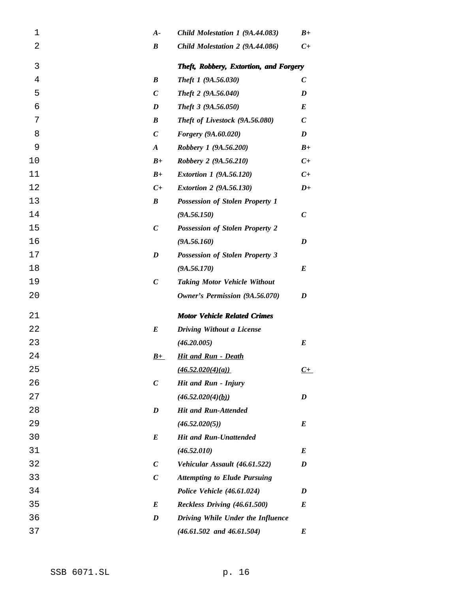| 1              | $A-$             | Child Molestation 1 (9A.44.083)        | $B+$                        |
|----------------|------------------|----------------------------------------|-----------------------------|
| $\overline{2}$ | $\boldsymbol{B}$ | Child Molestation 2 (9A.44.086)        | $C_{\pm}$                   |
| 3              |                  | Theft, Robbery, Extortion, and Forgery |                             |
| 4              | $\boldsymbol{B}$ | Theft 1 (9A.56.030)                    | $\boldsymbol{C}$            |
| 5              | $\boldsymbol{C}$ | Theft 2 (9A.56.040)                    | D                           |
| 6              | D                | Theft 3 (9A.56.050)                    | $\bm E$                     |
| 7              | $\boldsymbol{B}$ | Theft of Livestock (9A.56.080)         | $\mathcal{C}_{\mathcal{C}}$ |
| 8              | $\boldsymbol{C}$ | Forgery (9A.60.020)                    | D                           |
| 9              | $\boldsymbol{A}$ | Robbery 1 (9A.56.200)                  | $B+$                        |
| 10             | $B+$             | Robbery 2 (9A.56.210)                  | $C_{\pm}$                   |
| 11             | $B+$             | <i>Extortion 1 (9A.56.120)</i>         | $C_{\pm}$                   |
| 12             | $C_{\pm}$        | <i>Extortion 2 (9A.56.130)</i>         | $D+$                        |
| 13             | $\boldsymbol{B}$ | <b>Possession of Stolen Property 1</b> |                             |
| 14             |                  | (9A.56.150)                            | $\boldsymbol{C}$            |
| 15             | $\boldsymbol{C}$ | <b>Possession of Stolen Property 2</b> |                             |
| 16             |                  | (9A.56.160)                            | D                           |
| 17             | D                | <b>Possession of Stolen Property 3</b> |                             |
| 18             |                  | (9A.56.170)                            | $\bm E$                     |
| 19             | $\boldsymbol{C}$ | <b>Taking Motor Vehicle Without</b>    |                             |
| 20             |                  | Owner's Permission (9A.56.070)         | D                           |
| 21             |                  | <b>Motor Vehicle Related Crimes</b>    |                             |
| 22             | $\bm E$          | <b>Driving Without a License</b>       |                             |
| 23             |                  | (46.20.005)                            | E                           |
| 24             | $B+$             | <b>Hit and Run - Death</b>             |                             |
| 25             |                  | (46.52.020(4)(a))                      | <u>C+</u>                   |
| 26             | $\boldsymbol{C}$ | Hit and Run - Injury                   |                             |
| 27             |                  | (46.52.020(4)(b))                      | D                           |
| 28             | $\boldsymbol{D}$ | <b>Hit and Run-Attended</b>            |                             |
| 29             |                  | (46.52.020(5))                         | E                           |
| 30             | $\bm E$          | <b>Hit and Run-Unattended</b>          |                             |
| 31             |                  | (46.52.010)                            | E                           |
| 32             | $\boldsymbol{C}$ | Vehicular Assault (46.61.522)          | D                           |
| 33             | $\boldsymbol{C}$ | <b>Attempting to Elude Pursuing</b>    |                             |
| 34             |                  | Police Vehicle (46.61.024)             | D                           |
| 35             | $\bm E$          | Reckless Driving (46.61.500)           | E                           |
| 36             | $\boldsymbol{D}$ | Driving While Under the Influence      |                             |
| 37             |                  | $(46.61.502$ and $46.61.504)$          | E                           |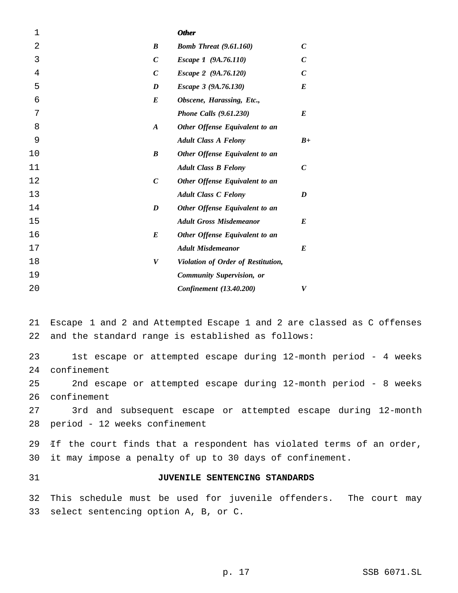| 2<br>$\boldsymbol{B}$<br>$\mathcal C$<br><b>Bomb Threat (9.61.160)</b><br>3<br>$\mathcal{C}$<br>$\mathcal{C}$<br>Escape 1 (9A.76.110)<br>4<br>$\mathcal{C}$<br>$\mathcal C$<br>Escape 2 (9A.76.120)<br>5<br>$\bm E$<br>D<br>Escape 3 (9A.76.130)<br>6<br>E<br>Obscene, Harassing, Etc.,<br>7<br>$\boldsymbol{E}$<br><b>Phone Calls (9.61.230)</b><br>8<br>$\boldsymbol{A}$<br>Other Offense Equivalent to an<br>9<br><b>Adult Class A Felony</b><br>10<br>$\boldsymbol{B}$<br>Other Offense Equivalent to an<br>11<br>$\mathcal C$<br><b>Adult Class B Felony</b><br>12<br>$\boldsymbol{C}$<br>Other Offense Equivalent to an<br>13<br><b>Adult Class C Felony</b><br>D<br>14<br>Other Offense Equivalent to an<br>D<br>15<br><b>Adult Gross Misdemeanor</b><br>$\bm{E}$<br>16<br>$\bm{E}$<br>Other Offense Equivalent to an<br>17<br>$\bm{E}$<br><b>Adult Misdemeanor</b><br>18<br>V<br>Violation of Order of Restitution,<br>19<br><b>Community Supervision, or</b><br>20<br>Confinement (13.40.200)<br>V | $\mathbf 1$ | <b>Other</b> |      |
|-------------------------------------------------------------------------------------------------------------------------------------------------------------------------------------------------------------------------------------------------------------------------------------------------------------------------------------------------------------------------------------------------------------------------------------------------------------------------------------------------------------------------------------------------------------------------------------------------------------------------------------------------------------------------------------------------------------------------------------------------------------------------------------------------------------------------------------------------------------------------------------------------------------------------------------------------------------------------------------------------------------|-------------|--------------|------|
|                                                                                                                                                                                                                                                                                                                                                                                                                                                                                                                                                                                                                                                                                                                                                                                                                                                                                                                                                                                                             |             |              |      |
|                                                                                                                                                                                                                                                                                                                                                                                                                                                                                                                                                                                                                                                                                                                                                                                                                                                                                                                                                                                                             |             |              |      |
|                                                                                                                                                                                                                                                                                                                                                                                                                                                                                                                                                                                                                                                                                                                                                                                                                                                                                                                                                                                                             |             |              |      |
|                                                                                                                                                                                                                                                                                                                                                                                                                                                                                                                                                                                                                                                                                                                                                                                                                                                                                                                                                                                                             |             |              |      |
|                                                                                                                                                                                                                                                                                                                                                                                                                                                                                                                                                                                                                                                                                                                                                                                                                                                                                                                                                                                                             |             |              |      |
|                                                                                                                                                                                                                                                                                                                                                                                                                                                                                                                                                                                                                                                                                                                                                                                                                                                                                                                                                                                                             |             |              |      |
|                                                                                                                                                                                                                                                                                                                                                                                                                                                                                                                                                                                                                                                                                                                                                                                                                                                                                                                                                                                                             |             |              |      |
|                                                                                                                                                                                                                                                                                                                                                                                                                                                                                                                                                                                                                                                                                                                                                                                                                                                                                                                                                                                                             |             |              | $B+$ |
|                                                                                                                                                                                                                                                                                                                                                                                                                                                                                                                                                                                                                                                                                                                                                                                                                                                                                                                                                                                                             |             |              |      |
|                                                                                                                                                                                                                                                                                                                                                                                                                                                                                                                                                                                                                                                                                                                                                                                                                                                                                                                                                                                                             |             |              |      |
|                                                                                                                                                                                                                                                                                                                                                                                                                                                                                                                                                                                                                                                                                                                                                                                                                                                                                                                                                                                                             |             |              |      |
|                                                                                                                                                                                                                                                                                                                                                                                                                                                                                                                                                                                                                                                                                                                                                                                                                                                                                                                                                                                                             |             |              |      |
|                                                                                                                                                                                                                                                                                                                                                                                                                                                                                                                                                                                                                                                                                                                                                                                                                                                                                                                                                                                                             |             |              |      |
|                                                                                                                                                                                                                                                                                                                                                                                                                                                                                                                                                                                                                                                                                                                                                                                                                                                                                                                                                                                                             |             |              |      |
|                                                                                                                                                                                                                                                                                                                                                                                                                                                                                                                                                                                                                                                                                                                                                                                                                                                                                                                                                                                                             |             |              |      |
|                                                                                                                                                                                                                                                                                                                                                                                                                                                                                                                                                                                                                                                                                                                                                                                                                                                                                                                                                                                                             |             |              |      |
|                                                                                                                                                                                                                                                                                                                                                                                                                                                                                                                                                                                                                                                                                                                                                                                                                                                                                                                                                                                                             |             |              |      |
|                                                                                                                                                                                                                                                                                                                                                                                                                                                                                                                                                                                                                                                                                                                                                                                                                                                                                                                                                                                                             |             |              |      |
|                                                                                                                                                                                                                                                                                                                                                                                                                                                                                                                                                                                                                                                                                                                                                                                                                                                                                                                                                                                                             |             |              |      |

 *<sup>1</sup>* Escape 1 and 2 and Attempted Escape 1 and 2 are classed as C offenses and the standard range is established as follows:

 1st escape or attempted escape during 12-month period - 4 weeks confinement

 2nd escape or attempted escape during 12-month period - 8 weeks confinement

 3rd and subsequent escape or attempted escape during 12-month period - 12 weeks confinement

 *<sup>2</sup>* If the court finds that a respondent has violated terms of an order, it may impose a penalty of up to 30 days of confinement.

# **JUVENILE SENTENCING STANDARDS**

 This schedule must be used for juvenile offenders. The court may select sentencing option A, B, or C.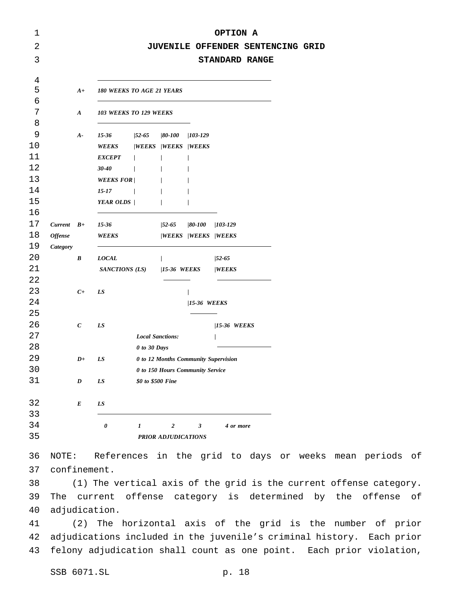| 1      |                 |                  |                                          |                   |                                      |              | OPTION A                           |                                   |    |       |
|--------|-----------------|------------------|------------------------------------------|-------------------|--------------------------------------|--------------|------------------------------------|-----------------------------------|----|-------|
| 2      |                 |                  |                                          |                   |                                      |              |                                    | JUVENILE OFFENDER SENTENCING GRID |    |       |
| 3      |                 |                  |                                          |                   |                                      |              |                                    | <b>STANDARD RANGE</b>             |    |       |
| 4      |                 |                  |                                          |                   |                                      |              |                                    |                                   |    |       |
| 5<br>6 |                 | $A+$             | <b>180 WEEKS TO AGE 21 YEARS</b>         |                   |                                      |              |                                    |                                   |    |       |
| 7      |                 | $\boldsymbol{A}$ | 103 WEEKS TO 129 WEEKS                   |                   |                                      |              |                                    |                                   |    |       |
| 8      |                 |                  |                                          |                   |                                      |              |                                    |                                   |    |       |
| 9      |                 | $A-$             | 15-36                                    |                   | $\frac{1}{52-65}$ $\frac{1}{80-100}$ | $/103 - 129$ |                                    |                                   |    |       |
| 10     |                 |                  | WEEKS /WEEKS /WEEKS /WEEKS               |                   |                                      |              |                                    |                                   |    |       |
| 11     |                 |                  | EXCEPT /                                 |                   | $\prime$                             | $\prime$     |                                    |                                   |    |       |
| 12     |                 |                  | <b>30-40</b><br>$\overline{\phantom{a}}$ |                   | $\prime$                             | $\prime$     |                                    |                                   |    |       |
| 13     |                 |                  | <b>WEEKS FOR</b> /                       |                   | $\sqrt{ }$                           | $\prime$     |                                    |                                   |    |       |
| 14     |                 |                  | 15-17                                    | $\prime$          | $\frac{1}{2}$                        | $\prime$     |                                    |                                   |    |       |
| 15     |                 |                  | <b>YEAR OLDS</b>                         |                   | $\prime$                             | $\prime$     |                                    |                                   |    |       |
| 16     |                 |                  |                                          |                   |                                      |              |                                    |                                   |    |       |
| 17     | $Current$ $B+$  |                  | 15-36                                    |                   | $/52 - 65$                           |              | 80-100  103-129                    |                                   |    |       |
| 18     | <b>Offense</b>  |                  | WEEKS                                    |                   |                                      |              | <b><i> WEEKS  WEEKS  WEEKS</i></b> |                                   |    |       |
| 19     | <b>Category</b> |                  |                                          |                   |                                      |              |                                    |                                   |    |       |
| 20     |                 | B                | <b>LOCAL</b>                             |                   | $\prime$                             |              | $/52 - 65$                         |                                   |    |       |
| 21     |                 |                  | SANCTIONS (LS) /15-36 WEEKS              |                   |                                      |              | <b>/WEEKS</b>                      |                                   |    |       |
| 22     |                 |                  |                                          |                   |                                      |              |                                    |                                   |    |       |
| 23     |                 | $C_{\pm}$        | LS                                       |                   |                                      | $\prime$     |                                    |                                   |    |       |
| 24     |                 |                  |                                          |                   |                                      | /15-36 WEEKS |                                    |                                   |    |       |
| 25     |                 |                  |                                          |                   |                                      |              |                                    |                                   |    |       |
| 26     |                 | $\mathcal C$     | LS                                       |                   |                                      |              | <b>/15-36 WEEKS</b>                |                                   |    |       |
| 27     |                 |                  |                                          |                   | <b>Local Sanctions:</b>              |              | $\prime$                           |                                   |    |       |
| 28     |                 |                  |                                          | 0 to 30 Days      |                                      |              |                                    |                                   |    |       |
| 29     |                 | $D+$             | LS                                       |                   | 0 to 12 Months Community Supervision |              |                                    |                                   |    |       |
| 30     |                 |                  |                                          |                   | 0 to 150 Hours Community Service     |              |                                    |                                   |    |       |
| 31     |                 | D                | LS                                       | \$0 to \$500 Fine |                                      |              |                                    |                                   |    |       |
| 32     |                 | $\boldsymbol{E}$ | LS                                       |                   |                                      |              |                                    |                                   |    |       |
| 33     |                 |                  |                                          |                   |                                      |              |                                    |                                   |    |       |
| 34     |                 |                  | 0                                        | 1                 | $\boldsymbol{2}$                     | 3            | 4 or more                          |                                   |    |       |
| 35     |                 |                  |                                          |                   | <b>PRIOR ADJUDICATIONS</b>           |              |                                    |                                   |    |       |
| 36     | NOTE:           |                  | References                               |                   | in                                   |              | the grid to                        | days                              | or | weeks |

r weeks mean periods of confinement.

 (1) The vertical axis of the grid is the current offense category. The current offense category is determined by the offense of adjudication.

 (2) The horizontal axis of the grid is the number of prior adjudications included in the juvenile's criminal history. Each prior felony adjudication shall count as one point. Each prior violation,